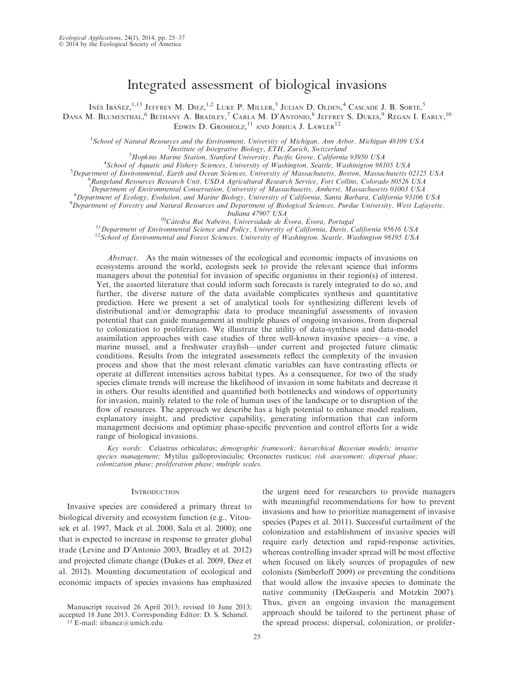# Integrated assessment of biological invasions

Inés Ibáñez,<sup>1,13</sup> Jeffrey M. Diez,<sup>1,2</sup> Luke P. Miller,<sup>3</sup> Julian D. Olden,<sup>4</sup> Cascade J. B. Sorte,<sup>5</sup> Dana M. Blumenthal,  $^6$  Bethany A. Bradley,  $^7$  Carla M. D'Antonio,  $^8$  Jeffrey S. Dukes,  $^9$  Regan I. Early,  $^{10}$ EDWIN D. GROSHOLZ,<sup>11</sup> AND JOSHUA J. LAWLER<sup>12</sup>

<sup>1</sup>School of Natural Resources and the Environment, University of Michigan, Ann Arbor, Michigan 48109 USA <sup>2</sup> Institute of Integrative Biology, ETH, Zurich, Switzerland

 ${}^{3}$ Hopkins Marine Station, Stanford University, Pacific Grove, California 93950 USA

<sup>4</sup>School of Aquatic and Fishery Sciences, University of Washington, Seattle, Washinigton 98105 USA

 $^5$ Department of Environmental, Earth and Ocean Sciences, University of Massachusetts, Boston, Massachusetts 02125 USA

Rangeland Resources Research Unit, USDA Agricultural Research Service, Fort Collins, Colorado 80526 USA

<sup>7</sup>Department of Environmental Conservation, University of Massachusetts, Amherst, Massachusetts 01003 USA<br><sup>8</sup>Department of Eccleary Evolution, and Marine Biology, University of California, Santa Barbara, California 03106

<sup>8</sup> Department of Ecology, Evolution, and Marine Biology, University of California, Santa Barbara, California 93106 USA

<sup>9</sup> Department of Forestry and Natural Resources and Department of Biological Sciences, Purdue University, West Lafayette,<br>Indiana 47907 USA

Indiana 47907 USA<br><sup>10</sup>Cátedra Rui Nabeiro, Universidade de Évora, É

<sup>11</sup> Department of Environmental Science and Policy, University of California, Davis, California 95616 USA <sup>12</sup> School of Environmental and Forest Sciences, University of Washington, Seattle, Washington 98195 USA

Abstract. As the main witnesses of the ecological and economic impacts of invasions on ecosystems around the world, ecologists seek to provide the relevant science that informs managers about the potential for invasion of specific organisms in their region(s) of interest. Yet, the assorted literature that could inform such forecasts is rarely integrated to do so, and further, the diverse nature of the data available complicates synthesis and quantitative prediction. Here we present a set of analytical tools for synthesizing different levels of distributional and/or demographic data to produce meaningful assessments of invasion potential that can guide management at multiple phases of ongoing invasions, from dispersal to colonization to proliferation. We illustrate the utility of data-synthesis and data-model assimilation approaches with case studies of three well-known invasive species—a vine, a marine mussel, and a freshwater crayfish—under current and projected future climatic conditions. Results from the integrated assessments reflect the complexity of the invasion process and show that the most relevant climatic variables can have contrasting effects or operate at different intensities across habitat types. As a consequence, for two of the study species climate trends will increase the likelihood of invasion in some habitats and decrease it in others. Our results identified and quantified both bottlenecks and windows of opportunity for invasion, mainly related to the role of human uses of the landscape or to disruption of the flow of resources. The approach we describe has a high potential to enhance model realism, explanatory insight, and predictive capability, generating information that can inform management decisions and optimize phase-specific prevention and control efforts for a wide range of biological invasions.

Key words: Celastrus orbiculatus; demographic framework; hierarchical Bayesian models; invasive species management; Mytilus galloprovincialis; Orconectes rusticus; risk assessment; dispersal phase; colonization phase; proliferation phase; multiple scales.

#### **INTRODUCTION**

Invasive species are considered a primary threat to biological diversity and ecosystem function (e.g., Vitousek et al. 1997, Mack et al. 2000, Sala et al. 2000); one that is expected to increase in response to greater global trade (Levine and D'Antonio 2003, Bradley et al. 2012) and projected climate change (Dukes et al. 2009, Diez et al. 2012). Mounting documentation of ecological and economic impacts of species invasions has emphasized

<sup>13</sup> E-mail: iibanez@umich.edu

the urgent need for researchers to provide managers with meaningful recommendations for how to prevent invasions and how to prioritize management of invasive species (Papes et al. 2011). Successful curtailment of the colonization and establishment of invasive species will require early detection and rapid-response activities, whereas controlling invader spread will be most effective when focused on likely sources of propagules of new colonists (Simberloff 2009) or preventing the conditions that would allow the invasive species to dominate the native community (DeGasperis and Motzkin 2007). Thus, given an ongoing invasion the management approach should be tailored to the pertinent phase of the spread process: dispersal, colonization, or prolifer-

Manuscript received 26 April 2013; revised 10 June 2013; accepted 18 June 2013. Corresponding Editor: D. S. Schimel.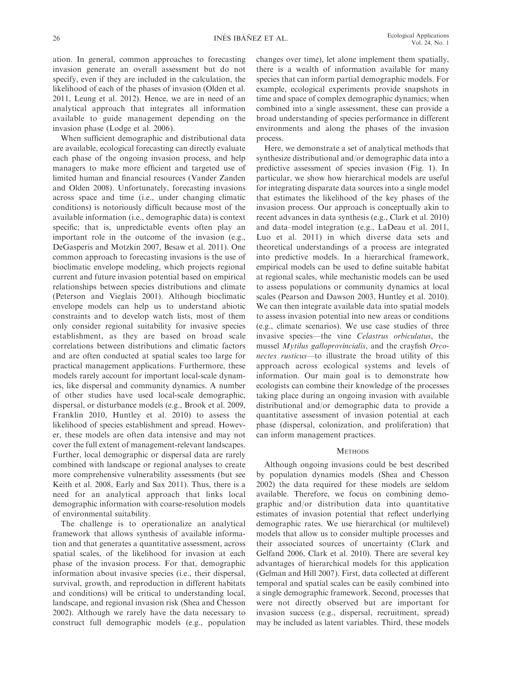ation. In general, common approaches to forecasting invasion generate an overall assessment but do not specify, even if they are included in the calculation, the likelihood of each of the phases of invasion (Olden et al. 2011, Leung et al. 2012). Hence, we are in need of an analytical approach that integrates all information available to guide management depending on the invasion phase (Lodge et al. 2006).

When sufficient demographic and distributional data are available, ecological forecasting can directly evaluate each phase of the ongoing invasion process, and help managers to make more efficient and targeted use of limited human and financial resources (Vander Zanden and Olden 2008). Unfortunately, forecasting invasions across space and time (i.e., under changing climatic conditions) is notoriously difficult because most of the available information (i.e., demographic data) is context specific; that is, unpredictable events often play an important role in the outcome of the invasion (e.g., DeGasperis and Motzkin 2007, Besaw et al. 2011). One common approach to forecasting invasions is the use of bioclimatic envelope modeling, which projects regional current and future invasion potential based on empirical relationships between species distributions and climate (Peterson and Vieglais 2001). Although bioclimatic envelope models can help us to understand abiotic constraints and to develop watch lists, most of them only consider regional suitability for invasive species establishment, as they are based on broad scale correlations between distributions and climatic factors and are often conducted at spatial scales too large for practical management applications. Furthermore, these models rarely account for important local-scale dynamics, like dispersal and community dynamics. A number of other studies have used local-scale demographic, dispersal, or disturbance models (e.g., Brook et al. 2009, Franklin 2010, Huntley et al. 2010) to assess the likelihood of species establishment and spread. However, these models are often data intensive and may not cover the full extent of management-relevant landscapes. Further, local demographic or dispersal data are rarely combined with landscape or regional analyses to create more comprehensive vulnerability assessments (but see Keith et al. 2008, Early and Sax 2011). Thus, there is a need for an analytical approach that links local demographic information with coarse-resolution models of environmental suitability.

The challenge is to operationalize an analytical framework that allows synthesis of available information and that generates a quantitative assessment, across spatial scales, of the likelihood for invasion at each phase of the invasion process. For that, demographic information about invasive species (i.e., their dispersal, survival, growth, and reproduction in different habitats and conditions) will be critical to understanding local, landscape, and regional invasion risk (Shea and Chesson 2002). Although we rarely have the data necessary to construct full demographic models (e.g., population

changes over time), let alone implement them spatially, there is a wealth of information available for many species that can inform partial demographic models. For example, ecological experiments provide snapshots in time and space of complex demographic dynamics; when combined into a single assessment, these can provide a broad understanding of species performance in different environments and along the phases of the invasion process.

Here, we demonstrate a set of analytical methods that synthesize distributional and/or demographic data into a predictive assessment of species invasion (Fig. 1). In particular, we show how hierarchical models are useful for integrating disparate data sources into a single model that estimates the likelihood of the key phases of the invasion process. Our approach is conceptually akin to recent advances in data synthesis (e.g., Clark et al. 2010) and data–model integration (e.g., LaDeau et al. 2011, Luo et al. 2011) in which diverse data sets and theoretical understandings of a process are integrated into predictive models. In a hierarchical framework, empirical models can be used to define suitable habitat at regional scales, while mechanistic models can be used to assess populations or community dynamics at local scales (Pearson and Dawson 2003, Huntley et al. 2010). We can then integrate available data into spatial models to assess invasion potential into new areas or conditions (e.g., climate scenarios). We use case studies of three invasive species—the vine Celastrus orbiculatus, the mussel Mytilus galloprovincialis, and the crayfish Orconectes rusticus—to illustrate the broad utility of this approach across ecological systems and levels of information. Our main goal is to demonstrate how ecologists can combine their knowledge of the processes taking place during an ongoing invasion with available distributional and/or demographic data to provide a quantitative assessment of invasion potential at each phase (dispersal, colonization, and proliferation) that can inform management practices.

## **METHODS**

Although ongoing invasions could be best described by population dynamics models (Shea and Chesson 2002) the data required for these models are seldom available. Therefore, we focus on combining demographic and/or distribution data into quantitative estimates of invasion potential that reflect underlying demographic rates. We use hierarchical (or multilevel) models that allow us to consider multiple processes and their associated sources of uncertainty (Clark and Gelfand 2006, Clark et al. 2010). There are several key advantages of hierarchical models for this application (Gelman and Hill 2007). First, data collected at different temporal and spatial scales can be easily combined into a single demographic framework. Second, processes that were not directly observed but are important for invasion success (e.g., dispersal, recruitment, spread) may be included as latent variables. Third, these models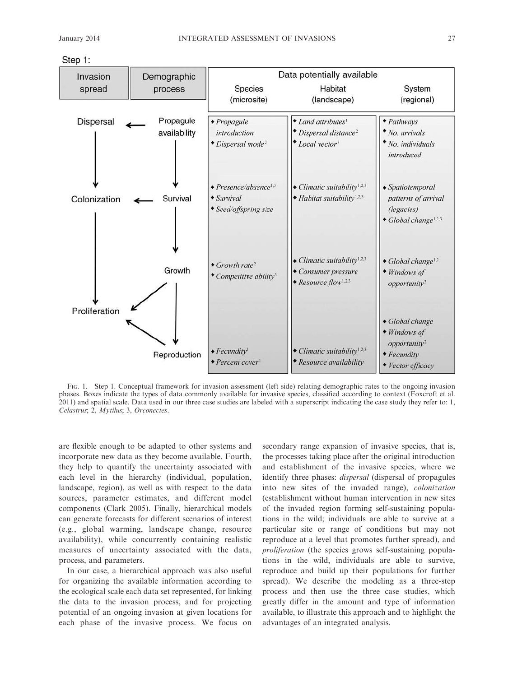| Step 1: |  |
|---------|--|
|         |  |



FIG. 1. Step 1. Conceptual framework for invasion assessment (left side) relating demographic rates to the ongoing invasion phases. Boxes indicate the types of data commonly available for invasive species, classified according to context (Foxcroft et al. 2011) and spatial scale. Data used in our three case studies are labeled with a superscript indicating the case study they refer to: 1, Celastrus; 2, Mytilus; 3, Orconectes.

are flexible enough to be adapted to other systems and incorporate new data as they become available. Fourth, they help to quantify the uncertainty associated with each level in the hierarchy (individual, population, landscape, region), as well as with respect to the data sources, parameter estimates, and different model components (Clark 2005). Finally, hierarchical models can generate forecasts for different scenarios of interest (e.g., global warming, landscape change, resource availability), while concurrently containing realistic measures of uncertainty associated with the data, process, and parameters.

In our case, a hierarchical approach was also useful for organizing the available information according to the ecological scale each data set represented, for linking the data to the invasion process, and for projecting potential of an ongoing invasion at given locations for each phase of the invasive process. We focus on secondary range expansion of invasive species, that is, the processes taking place after the original introduction and establishment of the invasive species, where we identify three phases: dispersal (dispersal of propagules into new sites of the invaded range), colonization (establishment without human intervention in new sites of the invaded region forming self-sustaining populations in the wild; individuals are able to survive at a particular site or range of conditions but may not reproduce at a level that promotes further spread), and proliferation (the species grows self-sustaining populations in the wild, individuals are able to survive, reproduce and build up their populations for further spread). We describe the modeling as a three-step process and then use the three case studies, which greatly differ in the amount and type of information available, to illustrate this approach and to highlight the advantages of an integrated analysis.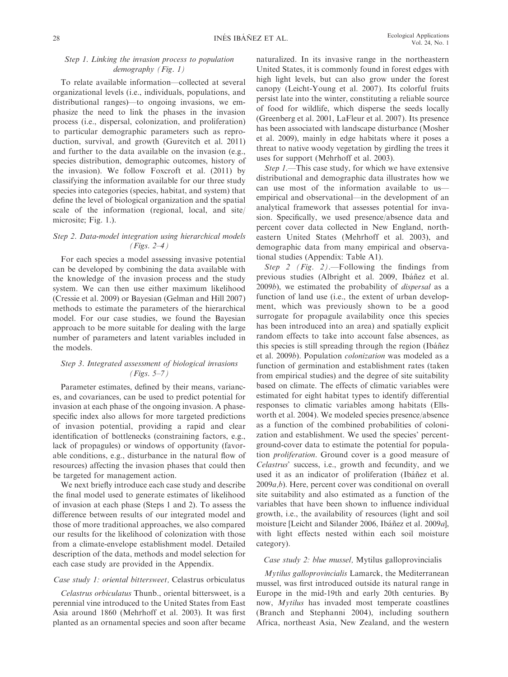# Step 1. Linking the invasion process to population demography (Fig. 1)

To relate available information—collected at several organizational levels (i.e., individuals, populations, and distributional ranges)—to ongoing invasions, we emphasize the need to link the phases in the invasion process (i.e., dispersal, colonization, and proliferation) to particular demographic parameters such as reproduction, survival, and growth (Gurevitch et al. 2011) and further to the data available on the invasion (e.g., species distribution, demographic outcomes, history of the invasion). We follow Foxcroft et al. (2011) by classifying the information available for our three study species into categories (species, habitat, and system) that define the level of biological organization and the spatial scale of the information (regional, local, and site/ microsite; Fig. 1.).

# Step 2. Data-model integration using hierarchical models (Figs. 2–4)

For each species a model assessing invasive potential can be developed by combining the data available with the knowledge of the invasion process and the study system. We can then use either maximum likelihood (Cressie et al. 2009) or Bayesian (Gelman and Hill 2007) methods to estimate the parameters of the hierarchical model. For our case studies, we found the Bayesian approach to be more suitable for dealing with the large number of parameters and latent variables included in the models.

# Step 3. Integrated assessment of biological invasions  $(Figs. 5-7)$

Parameter estimates, defined by their means, variances, and covariances, can be used to predict potential for invasion at each phase of the ongoing invasion. A phasespecific index also allows for more targeted predictions of invasion potential, providing a rapid and clear identification of bottlenecks (constraining factors, e.g., lack of propagules) or windows of opportunity (favorable conditions, e.g., disturbance in the natural flow of resources) affecting the invasion phases that could then be targeted for management action.

We next briefly introduce each case study and describe the final model used to generate estimates of likelihood of invasion at each phase (Steps 1 and 2). To assess the difference between results of our integrated model and those of more traditional approaches, we also compared our results for the likelihood of colonization with those from a climate-envelope establishment model. Detailed description of the data, methods and model selection for each case study are provided in the Appendix.

## Case study 1: oriental bittersweet, Celastrus orbiculatus

Celastrus orbiculatus Thunb., oriental bittersweet, is a perennial vine introduced to the United States from East Asia around 1860 (Mehrhoff et al. 2003). It was first planted as an ornamental species and soon after became naturalized. In its invasive range in the northeastern United States, it is commonly found in forest edges with high light levels, but can also grow under the forest canopy (Leicht-Young et al. 2007). Its colorful fruits persist late into the winter, constituting a reliable source of food for wildlife, which disperse the seeds locally (Greenberg et al. 2001, LaFleur et al. 2007). Its presence has been associated with landscape disturbance (Mosher et al. 2009), mainly in edge habitats where it poses a threat to native woody vegetation by girdling the trees it uses for support (Mehrhoff et al. 2003).

Step 1.—This case study, for which we have extensive distributional and demographic data illustrates how we can use most of the information available to us empirical and observational—in the development of an analytical framework that assesses potential for invasion. Specifically, we used presence/absence data and percent cover data collected in New England, northeastern United States (Mehrhoff et al. 2003), and demographic data from many empirical and observational studies (Appendix: Table A1).

Step 2 (Fig. 2).—Following the findings from previous studies (Albright et al. 2009, Ibáñez et al. 2009b), we estimated the probability of dispersal as a function of land use (i.e., the extent of urban development, which was previously shown to be a good surrogate for propagule availability once this species has been introduced into an area) and spatially explicit random effects to take into account false absences, as this species is still spreading through the region (Ibáñez et al. 2009b). Population colonization was modeled as a function of germination and establishment rates (taken from empirical studies) and the degree of site suitability based on climate. The effects of climatic variables were estimated for eight habitat types to identify differential responses to climatic variables among habitats (Ellsworth et al. 2004). We modeled species presence/absence as a function of the combined probabilities of colonization and establishment. We used the species' percentground-cover data to estimate the potential for population proliferation. Ground cover is a good measure of Celastrus' success, i.e., growth and fecundity, and we used it as an indicator of proliferation (Ibáñez et al. 2009a,b). Here, percent cover was conditional on overall site suitability and also estimated as a function of the variables that have been shown to influence individual growth, i.e., the availability of resources (light and soil moisture [Leicht and Silander 2006, Ibáñez et al. 2009a], with light effects nested within each soil moisture category).

#### Case study 2: blue mussel, Mytilus galloprovincialis

Mytilus galloprovincialis Lamarck, the Mediterranean mussel, was first introduced outside its natural range in Europe in the mid-19th and early 20th centuries. By now, Mytilus has invaded most temperate coastlines (Branch and Stephanni 2004), including southern Africa, northeast Asia, New Zealand, and the western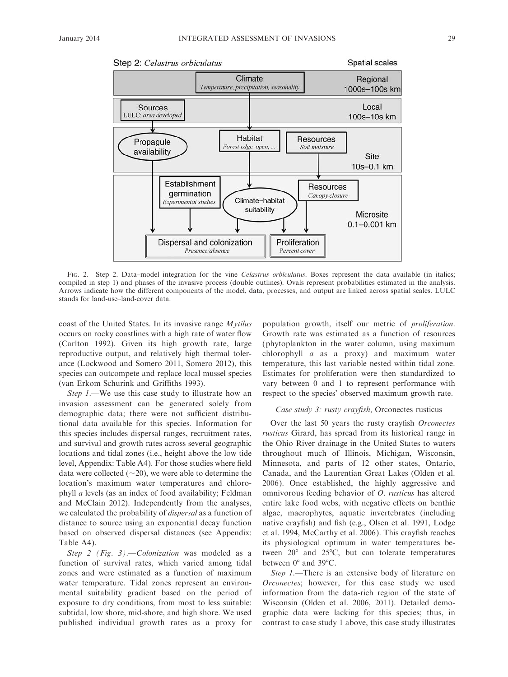

FIG. 2. Step 2. Data–model integration for the vine Celastrus orbiculatus. Boxes represent the data available (in italics; compiled in step 1) and phases of the invasive process (double outlines). Ovals represent probabilities estimated in the analysis. Arrows indicate how the different components of the model, data, processes, and output are linked across spatial scales. LULC stands for land-use–land-cover data.

coast of the United States. In its invasive range Mytilus occurs on rocky coastlines with a high rate of water flow (Carlton 1992). Given its high growth rate, large reproductive output, and relatively high thermal tolerance (Lockwood and Somero 2011, Somero 2012), this species can outcompete and replace local mussel species (van Erkom Schurink and Griffiths 1993).

Step 1.—We use this case study to illustrate how an invasion assessment can be generated solely from demographic data; there were not sufficient distributional data available for this species. Information for this species includes dispersal ranges, recruitment rates, and survival and growth rates across several geographic locations and tidal zones (i.e., height above the low tide level, Appendix: Table A4). For those studies where field data were collected  $(\sim 20)$ , we were able to determine the location's maximum water temperatures and chlorophyll a levels (as an index of food availability; Feldman and McClain 2012). Independently from the analyses, we calculated the probability of *dispersal* as a function of distance to source using an exponential decay function based on observed dispersal distances (see Appendix: Table A4).

Step 2 (Fig. 3).—Colonization was modeled as a function of survival rates, which varied among tidal zones and were estimated as a function of maximum water temperature. Tidal zones represent an environmental suitability gradient based on the period of exposure to dry conditions, from most to less suitable: subtidal, low shore, mid-shore, and high shore. We used published individual growth rates as a proxy for population growth, itself our metric of proliferation. Growth rate was estimated as a function of resources (phytoplankton in the water column, using maximum chlorophyll a as a proxy) and maximum water temperature, this last variable nested within tidal zone. Estimates for proliferation were then standardized to vary between 0 and 1 to represent performance with respect to the species' observed maximum growth rate.

## Case study 3: rusty crayfish, Orconectes rusticus

Over the last 50 years the rusty crayfish Orconectes rusticus Girard, has spread from its historical range in the Ohio River drainage in the United States to waters throughout much of Illinois, Michigan, Wisconsin, Minnesota, and parts of 12 other states, Ontario, Canada, and the Laurentian Great Lakes (Olden et al. 2006). Once established, the highly aggressive and omnivorous feeding behavior of O. rusticus has altered entire lake food webs, with negative effects on benthic algae, macrophytes, aquatic invertebrates (including native crayfish) and fish (e.g., Olsen et al. 1991, Lodge et al. 1994, McCarthy et al. 2006). This crayfish reaches its physiological optimum in water temperatures between  $20^{\circ}$  and  $25^{\circ}$ C, but can tolerate temperatures between  $0^{\circ}$  and 39 $^{\circ}$ C.

Step 1.—There is an extensive body of literature on Orconectes; however, for this case study we used information from the data-rich region of the state of Wisconsin (Olden et al. 2006, 2011). Detailed demographic data were lacking for this species; thus, in contrast to case study 1 above, this case study illustrates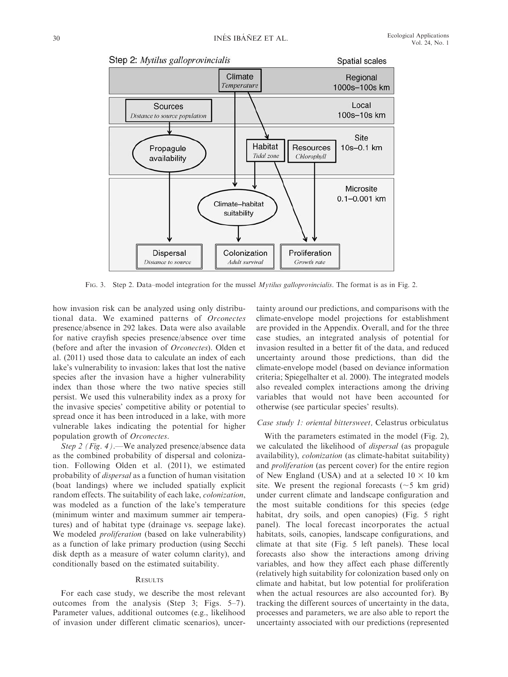

FIG. 3. Step 2. Data–model integration for the mussel *Mytilus galloprovincialis*. The format is as in Fig. 2.

how invasion risk can be analyzed using only distributional data. We examined patterns of Orconectes presence/absence in 292 lakes. Data were also available for native crayfish species presence/absence over time (before and after the invasion of Orconectes). Olden et al. (2011) used those data to calculate an index of each lake's vulnerability to invasion: lakes that lost the native species after the invasion have a higher vulnerability index than those where the two native species still persist. We used this vulnerability index as a proxy for the invasive species' competitive ability or potential to spread once it has been introduced in a lake, with more vulnerable lakes indicating the potential for higher population growth of Orconectes.

Step 2 (Fig. 4).—We analyzed presence/absence data as the combined probability of dispersal and colonization. Following Olden et al. (2011), we estimated probability of dispersal as a function of human visitation (boat landings) where we included spatially explicit random effects. The suitability of each lake, colonization, was modeled as a function of the lake's temperature (minimum winter and maximum summer air temperatures) and of habitat type (drainage vs. seepage lake). We modeled *proliferation* (based on lake vulnerability) as a function of lake primary production (using Secchi disk depth as a measure of water column clarity), and conditionally based on the estimated suitability.

## **RESULTS**

For each case study, we describe the most relevant outcomes from the analysis (Step 3; Figs. 5–7). Parameter values, additional outcomes (e.g., likelihood of invasion under different climatic scenarios), uncertainty around our predictions, and comparisons with the climate-envelope model projections for establishment are provided in the Appendix. Overall, and for the three case studies, an integrated analysis of potential for invasion resulted in a better fit of the data, and reduced uncertainty around those predictions, than did the climate-envelope model (based on deviance information criteria; Spiegelhalter et al. 2000). The integrated models also revealed complex interactions among the driving variables that would not have been accounted for otherwise (see particular species' results).

#### Case study 1: oriental bittersweet, Celastrus orbiculatus

With the parameters estimated in the model (Fig. 2), we calculated the likelihood of dispersal (as propagule availability), colonization (as climate-habitat suitability) and proliferation (as percent cover) for the entire region of New England (USA) and at a selected  $10 \times 10$  km site. We present the regional forecasts ( $\sim$ 5 km grid) under current climate and landscape configuration and the most suitable conditions for this species (edge habitat, dry soils, and open canopies) (Fig. 5 right panel). The local forecast incorporates the actual habitats, soils, canopies, landscape configurations, and climate at that site (Fig. 5 left panels). These local forecasts also show the interactions among driving variables, and how they affect each phase differently (relatively high suitability for colonization based only on climate and habitat, but low potential for proliferation when the actual resources are also accounted for). By tracking the different sources of uncertainty in the data, processes and parameters, we are also able to report the uncertainty associated with our predictions (represented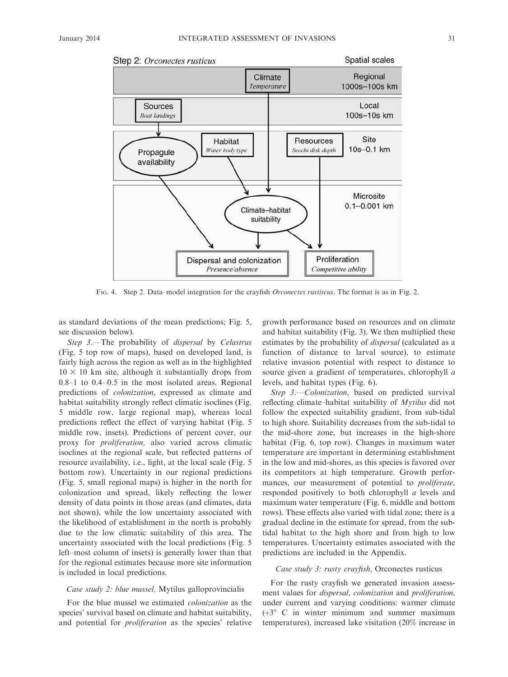

FIG. 4. Step 2. Data–model integration for the crayfish *Orconectes rustiscus*. The format is as in Fig. 2.

as standard deviations of the mean predictions; Fig. 5, see discussion below).

Step 3.—The probability of *dispersal* by Celastrus (Fig. 5 top row of maps), based on developed land, is fairly high across the region as well as in the highlighted  $10 \times 10$  km site, although it substantially drops from 0.8–1 to 0.4–0.5 in the most isolated areas. Regional predictions of colonization, expressed as climate and habitat suitability strongly reflect climatic isoclines (Fig. 5 middle row, large regional map), whereas local predictions reflect the effect of varying habitat (Fig. 5 middle row, insets). Predictions of percent cover, our proxy for proliferation, also varied across climatic isoclines at the regional scale, but reflected patterns of resource availability, i.e., light, at the local scale (Fig. 5 bottom row). Uncertainty in our regional predictions (Fig. 5, small regional maps) is higher in the north for colonization and spread, likely reflecting the lower density of data points in those areas (and climates, data not shown), while the low uncertainty associated with the likelihood of establishment in the north is probably due to the low climatic suitability of this area. The uncertainty associated with the local predictions (Fig. 5 left–most column of insets) is generally lower than that for the regional estimates because more site information is included in local predictions.

## Case study 2: blue mussel, Mytilus galloprovincialis

For the blue mussel we estimated colonization as the species' survival based on climate and habitat suitability, and potential for proliferation as the species' relative growth performance based on resources and on climate and habitat suitability (Fig. 3). We then multiplied these estimates by the probability of *dispersal* (calculated as a function of distance to larval source), to estimate relative invasion potential with respect to distance to source given a gradient of temperatures, chlorophyll a levels, and habitat types (Fig. 6).

Step 3.—Colonization, based on predicted survival reflecting climate–habitat suitability of Mytilus did not follow the expected suitability gradient, from sub-tidal to high shore. Suitability decreases from the sub-tidal to the mid-shore zone, but increases in the high-shore habitat (Fig. 6, top row). Changes in maximum water temperature are important in determining establishment in the low and mid-shores, as this species is favored over its competitors at high temperature. Growth performances, our measurement of potential to *proliferate*, responded positively to both chlorophyll a levels and maximum water temperature (Fig. 6, middle and bottom rows). These effects also varied with tidal zone; there is a gradual decline in the estimate for spread, from the subtidal habitat to the high shore and from high to low temperatures. Uncertainty estimates associated with the predictions are included in the Appendix.

#### Case study 3: rusty crayfish, Orconectes rusticus

For the rusty crayfish we generated invasion assessment values for dispersal, colonization and proliferation, under current and varying conditions: warmer climate  $(+3^{\circ} \text{ C}$  in winter minimum and summer maximum temperatures), increased lake visitation (20% increase in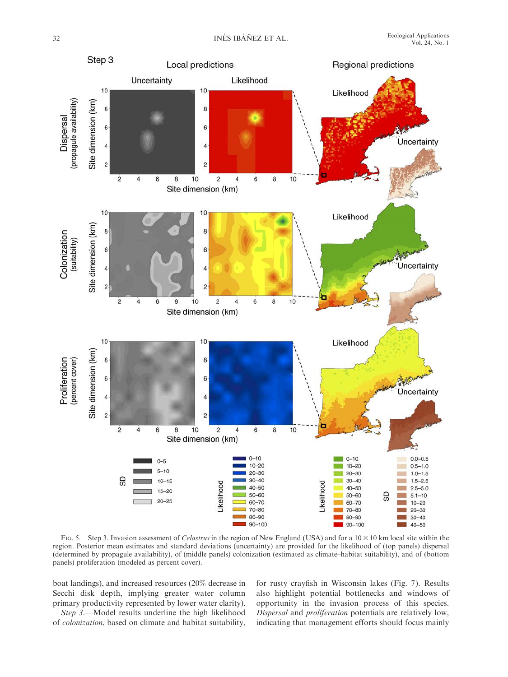

FIG. 5. Step 3. Invasion assessment of *Celastrus* in the region of New England (USA) and for a  $10 \times 10$  km local site within the region. Posterior mean estimates and standard deviations (uncertainty) are provided for the likelihood of (top panels) dispersal (determined by propagule availability), of (middle panels) colonization (estimated as climate–habitat suitability), and of (bottom panels) proliferation (modeled as percent cover).

boat landings), and increased resources (20% decrease in Secchi disk depth, implying greater water column primary productivity represented by lower water clarity).

Step 3.—Model results underline the high likelihood of colonization, based on climate and habitat suitability, for rusty crayfish in Wisconsin lakes (Fig. 7). Results also highlight potential bottlenecks and windows of opportunity in the invasion process of this species. Dispersal and proliferation potentials are relatively low, indicating that management efforts should focus mainly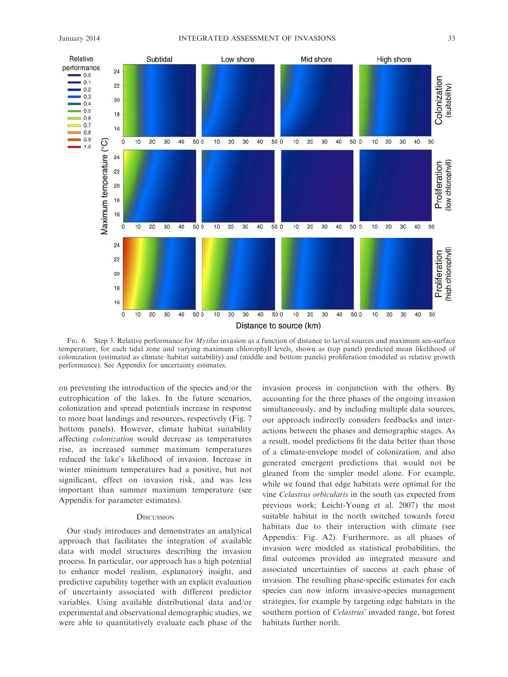

FIG. 6. Step 3. Relative performance for *Mytilus* invasion as a function of distance to larval sources and maximum sea-surface temperature, for each tidal zone and varying maximum chlorophyll levels, shown as (top panel) predicted mean likelihood of colonization (estimated as climate–habitat suitability) and (middle and bottom panels) proliferation (modeled as relative growth performance). See Appendix for uncertainty estimates.

on preventing the introduction of the species and/or the eutrophication of the lakes. In the future scenarios, colonization and spread potentials increase in response to more boat landings and resources, respectively (Fig. 7 bottom panels). However, climate habitat suitability affecting colonization would decrease as temperatures rise, as increased summer maximum temperatures reduced the lake's likelihood of invasion. Increase in winter minimum temperatures had a positive, but not significant, effect on invasion risk, and was less important than summer maximum temperature (see Appendix for parameter estimates).

#### **DISCUSSION**

Our study introduces and demonstrates an analytical approach that facilitates the integration of available data with model structures describing the invasion process. In particular, our approach has a high potential to enhance model realism, explanatory insight, and predictive capability together with an explicit evaluation of uncertainty associated with different predictor variables. Using available distributional data and/or experimental and observational demographic studies, we were able to quantitatively evaluate each phase of the invasion process in conjunction with the others. By accounting for the three phases of the ongoing invasion simultaneously, and by including multiple data sources, our approach indirectly considers feedbacks and interactions between the phases and demographic stages. As a result, model predictions fit the data better than those of a climate-envelope model of colonization, and also generated emergent predictions that would not be gleaned from the simpler model alone. For example, while we found that edge habitats were optimal for the vine Celastrus orbicularis in the south (as expected from previous work; Leicht-Young et al. 2007) the most suitable habitat in the north switched towards forest habitats due to their interaction with climate (see Appendix: Fig. A2). Furthermore, as all phases of invasion were modeled as statistical probabilities, the final outcomes provided an integrated measure and associated uncertainties of success at each phase of invasion. The resulting phase-specific estimates for each species can now inform invasive-species management strategies, for example by targeting edge habitats in the southern portion of Celastrus' invaded range, but forest habitats further north.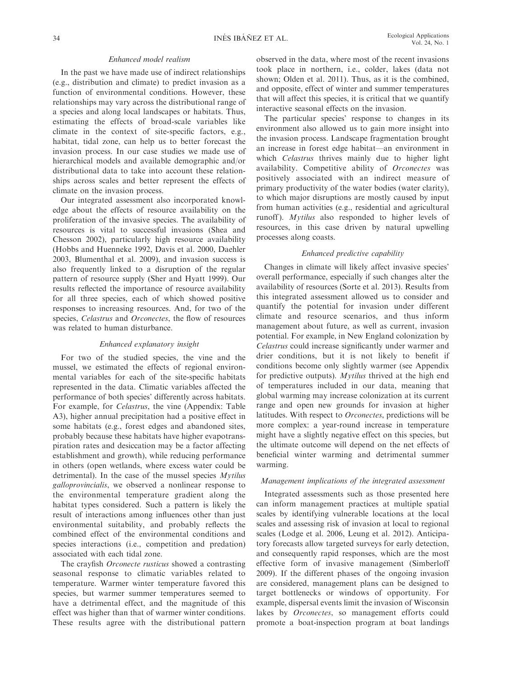## Enhanced model realism

In the past we have made use of indirect relationships (e.g., distribution and climate) to predict invasion as a function of environmental conditions. However, these relationships may vary across the distributional range of a species and along local landscapes or habitats. Thus, estimating the effects of broad-scale variables like climate in the context of site-specific factors, e.g., habitat, tidal zone, can help us to better forecast the invasion process. In our case studies we made use of hierarchical models and available demographic and/or distributional data to take into account these relationships across scales and better represent the effects of climate on the invasion process.

Our integrated assessment also incorporated knowledge about the effects of resource availability on the proliferation of the invasive species. The availability of resources is vital to successful invasions (Shea and Chesson 2002), particularly high resource availability (Hobbs and Huenneke 1992, Davis et al. 2000, Daehler 2003, Blumenthal et al. 2009), and invasion success is also frequently linked to a disruption of the regular pattern of resource supply (Sher and Hyatt 1999). Our results reflected the importance of resource availability for all three species, each of which showed positive responses to increasing resources. And, for two of the species, *Celastrus* and *Orconectes*, the flow of resources was related to human disturbance.

## Enhanced explanatory insight

For two of the studied species, the vine and the mussel, we estimated the effects of regional environmental variables for each of the site-specific habitats represented in the data. Climatic variables affected the performance of both species' differently across habitats. For example, for Celastrus, the vine (Appendix: Table A3), higher annual precipitation had a positive effect in some habitats (e.g., forest edges and abandoned sites, probably because these habitats have higher evapotranspiration rates and desiccation may be a factor affecting establishment and growth), while reducing performance in others (open wetlands, where excess water could be detrimental). In the case of the mussel species  $Mytilus$ galloprovincialis, we observed a nonlinear response to the environmental temperature gradient along the habitat types considered. Such a pattern is likely the result of interactions among influences other than just environmental suitability, and probably reflects the combined effect of the environmental conditions and species interactions (i.e., competition and predation) associated with each tidal zone.

The crayfish Orconecte rusticus showed a contrasting seasonal response to climatic variables related to temperature. Warmer winter temperature favored this species, but warmer summer temperatures seemed to have a detrimental effect, and the magnitude of this effect was higher than that of warmer winter conditions. These results agree with the distributional pattern

observed in the data, where most of the recent invasions took place in northern, i.e., colder, lakes (data not shown; Olden et al. 2011). Thus, as it is the combined, and opposite, effect of winter and summer temperatures that will affect this species, it is critical that we quantify interactive seasonal effects on the invasion.

The particular species' response to changes in its environment also allowed us to gain more insight into the invasion process. Landscape fragmentation brought an increase in forest edge habitat—an environment in which *Celastrus* thrives mainly due to higher light availability. Competitive ability of Orconectes was positively associated with an indirect measure of primary productivity of the water bodies (water clarity), to which major disruptions are mostly caused by input from human activities (e.g., residential and agricultural runoff). Mytilus also responded to higher levels of resources, in this case driven by natural upwelling processes along coasts.

### Enhanced predictive capability

Changes in climate will likely affect invasive species' overall performance, especially if such changes alter the availability of resources (Sorte et al. 2013). Results from this integrated assessment allowed us to consider and quantify the potential for invasion under different climate and resource scenarios, and thus inform management about future, as well as current, invasion potential. For example, in New England colonization by Celastrus could increase significantly under warmer and drier conditions, but it is not likely to benefit if conditions become only slightly warmer (see Appendix for predictive outputs). Mytilus thrived at the high end of temperatures included in our data, meaning that global warming may increase colonization at its current range and open new grounds for invasion at higher latitudes. With respect to Orconectes, predictions will be more complex: a year-round increase in temperature might have a slightly negative effect on this species, but the ultimate outcome will depend on the net effects of beneficial winter warming and detrimental summer warming.

# Management implications of the integrated assessment

Integrated assessments such as those presented here can inform management practices at multiple spatial scales by identifying vulnerable locations at the local scales and assessing risk of invasion at local to regional scales (Lodge et al. 2006, Leung et al. 2012). Anticipatory forecasts allow targeted surveys for early detection, and consequently rapid responses, which are the most effective form of invasive management (Simberloff 2009). If the different phases of the ongoing invasion are considered, management plans can be designed to target bottlenecks or windows of opportunity. For example, dispersal events limit the invasion of Wisconsin lakes by Orconectes, so management efforts could promote a boat-inspection program at boat landings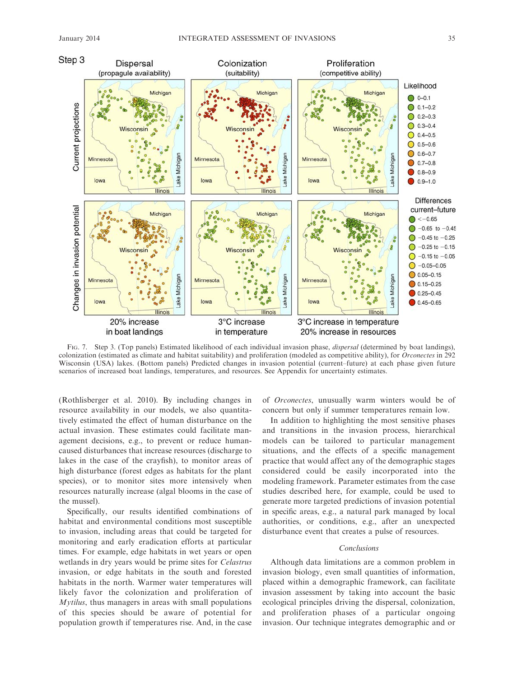

FIG. 7. Step 3. (Top panels) Estimated likelihood of each individual invasion phase, *dispersal* (determined by boat landings), colonization (estimated as climate and habitat suitability) and proliferation (modeled as competitive ability), for Orconectes in 292 Wisconsin (USA) lakes. (Bottom panels) Predicted changes in invasion potential (current–future) at each phase given future scenarios of increased boat landings, temperatures, and resources. See Appendix for uncertainty estimates.

(Rothlisberger et al. 2010). By including changes in resource availability in our models, we also quantitatively estimated the effect of human disturbance on the actual invasion. These estimates could facilitate management decisions, e.g., to prevent or reduce humancaused disturbances that increase resources (discharge to lakes in the case of the crayfish), to monitor areas of high disturbance (forest edges as habitats for the plant species), or to monitor sites more intensively when resources naturally increase (algal blooms in the case of the mussel).

Specifically, our results identified combinations of habitat and environmental conditions most susceptible to invasion, including areas that could be targeted for monitoring and early eradication efforts at particular times. For example, edge habitats in wet years or open wetlands in dry years would be prime sites for Celastrus invasion, or edge habitats in the south and forested habitats in the north. Warmer water temperatures will likely favor the colonization and proliferation of Mytilus, thus managers in areas with small populations of this species should be aware of potential for population growth if temperatures rise. And, in the case of Orconectes, unusually warm winters would be of concern but only if summer temperatures remain low.

In addition to highlighting the most sensitive phases and transitions in the invasion process, hierarchical models can be tailored to particular management situations, and the effects of a specific management practice that would affect any of the demographic stages considered could be easily incorporated into the modeling framework. Parameter estimates from the case studies described here, for example, could be used to generate more targeted predictions of invasion potential in specific areas, e.g., a natural park managed by local authorities, or conditions, e.g., after an unexpected disturbance event that creates a pulse of resources.

#### Conclusions

Although data limitations are a common problem in invasion biology, even small quantities of information, placed within a demographic framework, can facilitate invasion assessment by taking into account the basic ecological principles driving the dispersal, colonization, and proliferation phases of a particular ongoing invasion. Our technique integrates demographic and or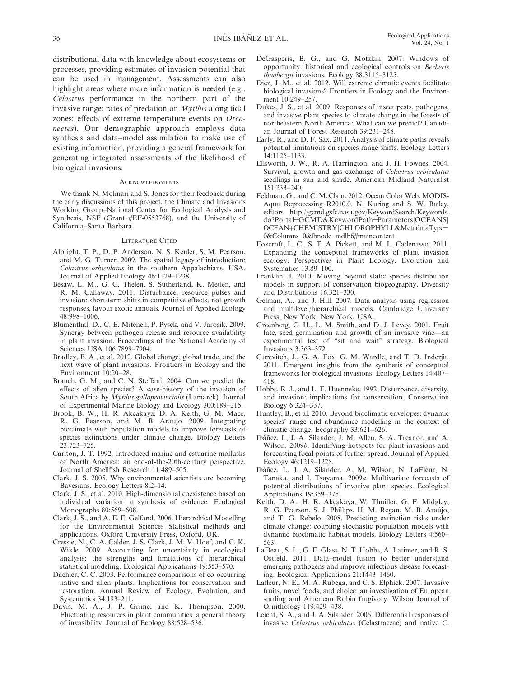distributional data with knowledge about ecosystems or processes, providing estimates of invasion potential that can be used in management. Assessments can also highlight areas where more information is needed (e.g., Celastrus performance in the northern part of the invasive range; rates of predation on Mytilus along tidal zones; effects of extreme temperature events on Orconectes). Our demographic approach employs data synthesis and data–model assimilation to make use of existing information, providing a general framework for generating integrated assessments of the likelihood of biological invasions.

#### **ACKNOWLEDGMENTS**

We thank N. Molinari and S. Jones for their feedback during the early discussions of this project, the Climate and Invasions Working Group–National Center for Ecological Analysis and Synthesis, NSF (Grant #EF-0553768), and the University of California–Santa Barbara.

#### LITERATURE CITED

- Albright, T. P., D. P. Anderson, N. S. Keuler, S. M. Pearson, and M. G. Turner. 2009. The spatial legacy of introduction: Celastrus orbiculatus in the southern Appalachians, USA. Journal of Applied Ecology 46:1229–1238.
- Besaw, L. M., G. C. Thelen, S. Sutherland, K. Metlen, and R. M. Callaway. 2011. Disturbance, resource pulses and invasion: short-term shifts in competitive effects, not growth responses, favour exotic annuals. Journal of Applied Ecology 48:998–1006.
- Blumenthal, D., C. E. Mitchell, P. Pysek, and V. Jarosik. 2009. Synergy between pathogen release and resource availability in plant invasion. Proceedings of the National Academy of Sciences USA 106:7899–7904.
- Bradley, B. A., et al. 2012. Global change, global trade, and the next wave of plant invasions. Frontiers in Ecology and the Environment 10:20–28.
- Branch, G. M., and C. N. Steffani. 2004. Can we predict the effects of alien species? A case-history of the invasion of South Africa by Mytilus galloprovincialis (Lamarck). Journal of Experimental Marine Biology and Ecology 300:189–215.
- Brook, B. W., H. R. Akcakaya, D. A. Keith, G. M. Mace, R. G. Pearson, and M. B. Araujo. 2009. Integrating bioclimate with population models to improve forecasts of species extinctions under climate change. Biology Letters 23:723–725.
- Carlton, J. T. 1992. Introduced marine and estuarine mollusks of North America: an end-of-the-20th-century perspective. Journal of Shellfish Research 11:489–505.
- Clark, J. S. 2005. Why environmental scientists are becoming Bayesians. Ecology Letters 8:2–14.
- Clark, J. S., et al. 2010. High-dimensional coexistence based on individual variation: a synthesis of evidence. Ecological Monographs 80:569–608.
- Clark, J. S., and A. E. E. Gelfand. 2006. Hierarchical Modelling for the Environmental Sciences Statistical methods and applications. Oxford University Press, Oxford, UK.
- Cressie, N., C. A. Calder, J. S. Clark, J. M. V. Hoef, and C. K. Wikle. 2009. Accounting for uncertainty in ecological analysis: the strengths and limitations of hierarchical statistical modeling. Ecological Applications 19:553–570.
- Daehler, C. C. 2003. Performance comparisons of co-occurring native and alien plants: Implications for conservation and restoration. Annual Review of Ecology, Evolution, and Systematics 34:183–211.
- Davis, M. A., J. P. Grime, and K. Thompson. 2000. Fluctuating resources in plant communities: a general theory of invasibility. Journal of Ecology 88:528–536.
- DeGasperis, B. G., and G. Motzkin. 2007. Windows of opportunity: historical and ecological controls on Berberis thunbergii invasions. Ecology 88:3115–3125.
- Diez, J. M., et al. 2012. Will extreme climatic events facilitate biological invasions? Frontiers in Ecology and the Environment 10:249–257.
- Dukes, J. S., et al. 2009. Responses of insect pests, pathogens, and invasive plant species to climate change in the forests of northeastern North America: What can we predict? Canadian Journal of Forest Research 39:231–248.
- Early, R., and D. F. Sax. 2011. Analysis of climate paths reveals potential limitations on species range shifts. Ecology Letters 14:1125–1133.
- Ellsworth, J. W., R. A. Harrington, and J. H. Fownes. 2004. Survival, growth and gas exchange of Celastrus orbiculatus seedlings in sun and shade. American Midland Naturalist 151:233–240.
- Feldman, G., and C. McClain. 2012. Ocean Color Web, MODIS-Aqua Reprocessing R2010.0. N. Kuring and S. W. Bailey, editors. http://gcmd.gsfc.nasa.gov/KeywordSearch/Keywords. do?Portal=GCMD&KeywordPath=Parameters|OCEANS| OCEAN+CHEMISTRY|CHLOROPHYLL&MetadataType= 0&Columns=0&lbnode=mdlb6#maincontent
- Foxcroft, L. C., S. T. A. Pickett, and M. L. Cadenasso. 2011. Expanding the conceptual frameworks of plant invasion ecology. Perspectives in Plant Ecology, Evolution and Systematics 13:89–100.
- Franklin, J. 2010. Moving beyond static species distribution models in support of conservation biogeography. Diversity and Distributions 16:321–330.
- Gelman, A., and J. Hill. 2007. Data analysis using regression and multilevel/hierarchical models. Cambridge University Press, New York, New York, USA.
- Greenberg, C. H., L. M. Smith, and D. J. Levey. 2001. Fruit fate, seed germination and growth of an invasive vine—an experimental test of ''sit and wait'' strategy. Biological Invasions 3:363–372.
- Gurevitch, J., G. A. Fox, G. M. Wardle, and T. D. Inderjit. 2011. Emergent insights from the synthesis of conceptual frameworks for biological invasions. Ecology Letters 14:407– 418.
- Hobbs, R. J., and L. F. Huenneke. 1992. Disturbance, diversity, and invasion: implications for conservation. Conservation Biology 6:324–337.
- Huntley, B., et al. 2010. Beyond bioclimatic envelopes: dynamic species' range and abundance modelling in the context of climatic change. Ecography 33:621–626.
- Ibáñez, I., J. A. Silander, J. M. Allen, S. A. Treanor, and A. Wilson. 2009b. Identifying hotspots for plant invasions and forecasting focal points of further spread. Journal of Applied Ecology 46:1219–1228.
- Ibáñez, I., J. A. Silander, A. M. Wilson, N. LaFleur, N. Tanaka, and I. Tsuyama. 2009a. Multivariate forecasts of potential distributions of invasive plant species. Ecological Applications 19:359–375.
- Keith, D. A., H. R. Akçakaya, W. Thuiller, G. F. Midgley, R. G. Pearson, S. J. Phillips, H. M. Regan, M. B. Araújo, and T. G. Rebelo. 2008. Predicting extinction risks under climate change: coupling stochastic population models with dynamic bioclimatic habitat models. Biology Letters 4:560– 563.
- LaDeau, S. L., G. E. Glass, N. T. Hobbs, A. Latimer, and R. S. Ostfeld. 2011. Data–model fusion to better understand emerging pathogens and improve infectious disease forecasting. Ecological Applications 21:1443–1460.
- Lafleur, N. E., M. A. Rubega, and C. S. Elphick. 2007. Invasive fruits, novel foods, and choice: an investigation of European starling and American Robin frugivory. Wilson Journal of Ornithology 119:429–438.
- Leicht, S. A., and J. A. Silander. 2006. Differential responses of invasive Celastrus orbiculatus (Celastraceae) and native C.